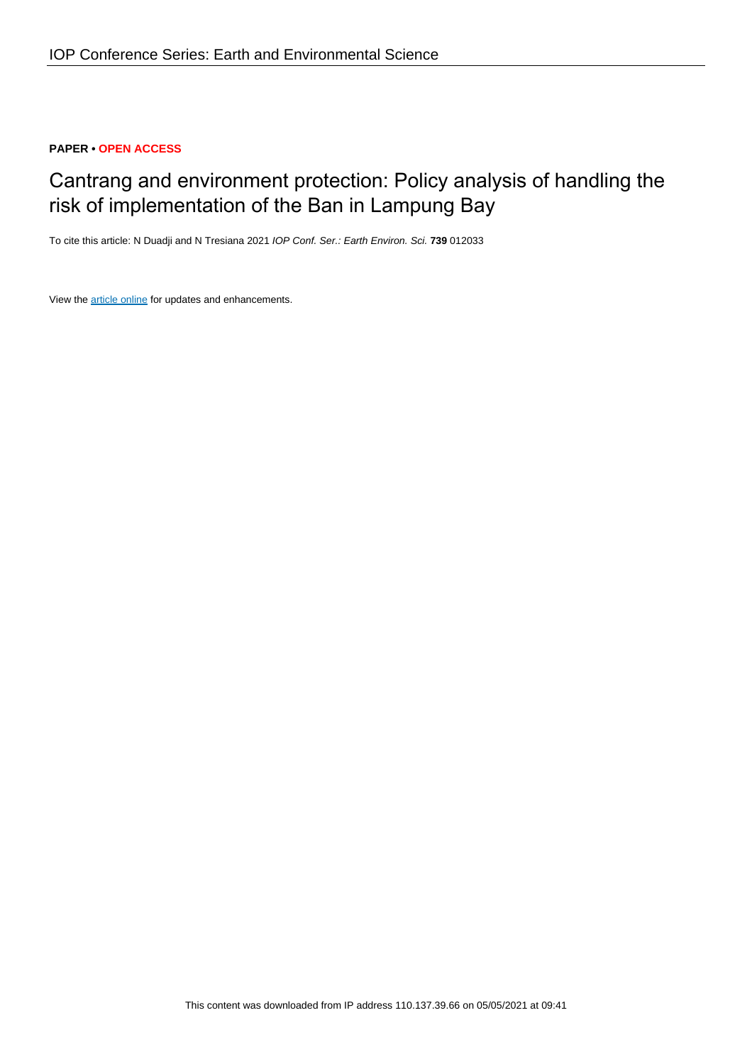# **PAPER • OPEN ACCESS**

# Cantrang and environment protection: Policy analysis of handling the risk of implementation of the Ban in Lampung Bay

To cite this article: N Duadji and N Tresiana 2021 IOP Conf. Ser.: Earth Environ. Sci. **739** 012033

View the [article online](https://doi.org/10.1088/1755-1315/739/1/012033) for updates and enhancements.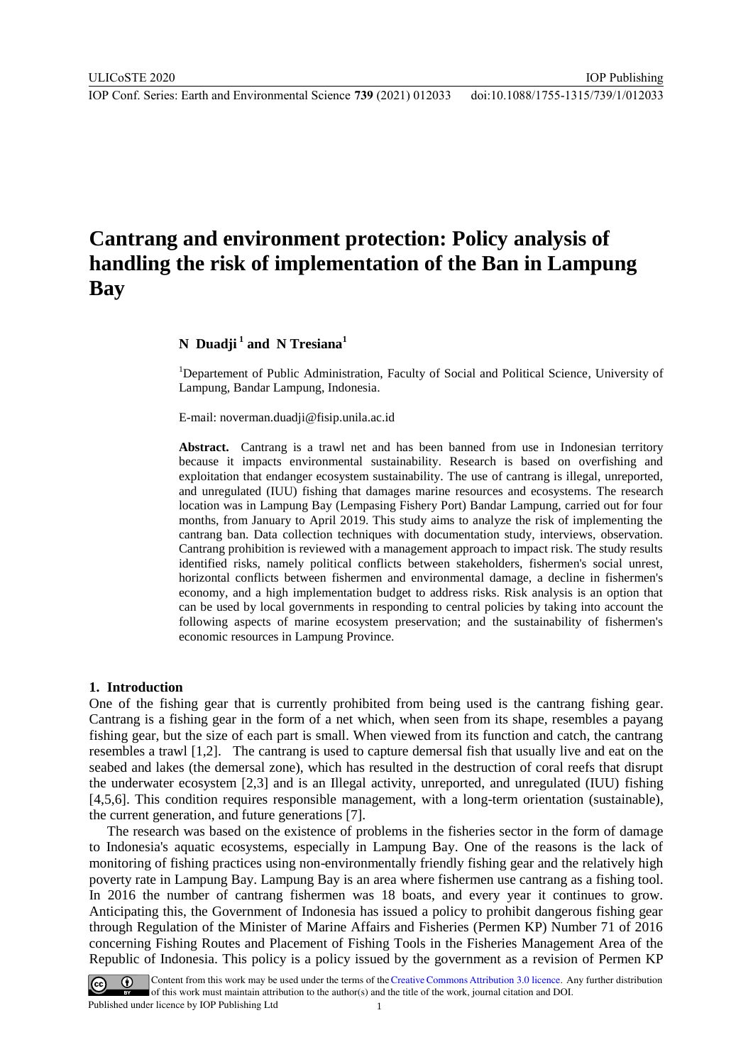IOP Publishing

# **Cantrang and environment protection: Policy analysis of handling the risk of implementation of the Ban in Lampung Bay**

## **N Duadji <sup>1</sup> and N Tresiana<sup>1</sup>**

<sup>1</sup>Departement of Public Administration, Faculty of Social and Political Science, University of Lampung, Bandar Lampung, Indonesia.

E-mail: [noverman.duadji@fisip.unila.ac.id](mailto:E-mail:%20noverman.duadji@fisip.unila.ac.id)

**Abstract.** Cantrang is a trawl net and has been banned from use in Indonesian territory because it impacts environmental sustainability. Research is based on overfishing and exploitation that endanger ecosystem sustainability. The use of cantrang is illegal, unreported, and unregulated (IUU) fishing that damages marine resources and ecosystems. The research location was in Lampung Bay (Lempasing Fishery Port) Bandar Lampung, carried out for four months, from January to April 2019. This study aims to analyze the risk of implementing the cantrang ban. Data collection techniques with documentation study, interviews, observation. Cantrang prohibition is reviewed with a management approach to impact risk. The study results identified risks, namely political conflicts between stakeholders, fishermen's social unrest, horizontal conflicts between fishermen and environmental damage, a decline in fishermen's economy, and a high implementation budget to address risks. Risk analysis is an option that can be used by local governments in responding to central policies by taking into account the following aspects of marine ecosystem preservation; and the sustainability of fishermen's economic resources in Lampung Province.

#### **1. Introduction**

One of the fishing gear that is currently prohibited from being used is the cantrang fishing gear. Cantrang is a fishing gear in the form of a net which, when seen from its shape, resembles a payang fishing gear, but the size of each part is small. When viewed from its function and catch, the cantrang resembles a trawl [1,2]. The cantrang is used to capture demersal fish that usually live and eat on the seabed and lakes (the demersal zone), which has resulted in the destruction of coral reefs that disrupt the underwater ecosystem [2,3] and is an Illegal activity, unreported, and unregulated (IUU) fishing [4,5,6]. This condition requires responsible management, with a long-term orientation (sustainable), the current generation, and future generations [7].

The research was based on the existence of problems in the fisheries sector in the form of damage to Indonesia's aquatic ecosystems, especially in Lampung Bay. One of the reasons is the lack of monitoring of fishing practices using non-environmentally friendly fishing gear and the relatively high poverty rate in Lampung Bay. Lampung Bay is an area where fishermen use cantrang as a fishing tool. In 2016 the number of cantrang fishermen was 18 boats, and every year it continues to grow. Anticipating this, the Government of Indonesia has issued a policy to prohibit dangerous fishing gear through Regulation of the Minister of Marine Affairs and Fisheries (Permen KP) Number 71 of 2016 concerning Fishing Routes and Placement of Fishing Tools in the Fisheries Management Area of the Republic of Indonesia. This policy is a policy issued by the government as a revision of Permen KP

Content from this work may be used under the terms of the Creative Commons Attribution 3.0 licence. Any further distribution of this work must maintain attribution to the author(s) and the title of the work, journal citation and DOI. Published under licence by IOP Publishing Ltd 1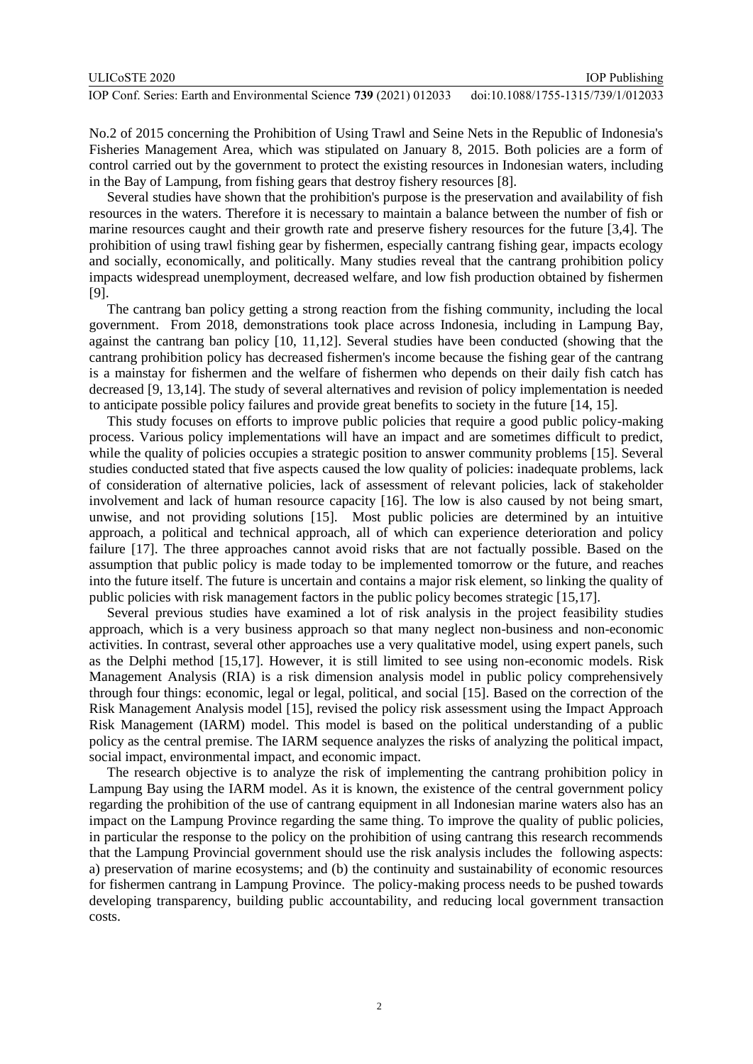| ULICoSTE 2020                                                       | <b>IOP</b> Publishing              |
|---------------------------------------------------------------------|------------------------------------|
| IOP Conf. Series: Earth and Environmental Science 739 (2021) 012033 | doi:10.1088/1755-1315/739/1/012033 |

No.2 of 2015 concerning the Prohibition of Using Trawl and Seine Nets in the Republic of Indonesia's Fisheries Management Area, which was stipulated on January 8, 2015. Both policies are a form of control carried out by the government to protect the existing resources in Indonesian waters, including in the Bay of Lampung, from fishing gears that destroy fishery resources [8].

Several studies have shown that the prohibition's purpose is the preservation and availability of fish resources in the waters. Therefore it is necessary to maintain a balance between the number of fish or marine resources caught and their growth rate and preserve fishery resources for the future [3,4]. The prohibition of using trawl fishing gear by fishermen, especially cantrang fishing gear, impacts ecology and socially, economically, and politically. Many studies reveal that the cantrang prohibition policy impacts widespread unemployment, decreased welfare, and low fish production obtained by fishermen [9].

The cantrang ban policy getting a strong reaction from the fishing community, including the local government. From 2018, demonstrations took place across Indonesia, including in Lampung Bay, against the cantrang ban policy [10, 11,12]. Several studies have been conducted (showing that the cantrang prohibition policy has decreased fishermen's income because the fishing gear of the cantrang is a mainstay for fishermen and the welfare of fishermen who depends on their daily fish catch has decreased [9, 13,14]. The study of several alternatives and revision of policy implementation is needed to anticipate possible policy failures and provide great benefits to society in the future [14, 15].

This study focuses on efforts to improve public policies that require a good public policy-making process. Various policy implementations will have an impact and are sometimes difficult to predict, while the quality of policies occupies a strategic position to answer community problems [15]. Several studies conducted stated that five aspects caused the low quality of policies: inadequate problems, lack of consideration of alternative policies, lack of assessment of relevant policies, lack of stakeholder involvement and lack of human resource capacity [16]. The low is also caused by not being smart, unwise, and not providing solutions [15]. Most public policies are determined by an intuitive approach, a political and technical approach, all of which can experience deterioration and policy failure [17]. The three approaches cannot avoid risks that are not factually possible. Based on the assumption that public policy is made today to be implemented tomorrow or the future, and reaches into the future itself. The future is uncertain and contains a major risk element, so linking the quality of public policies with risk management factors in the public policy becomes strategic [15,17].

Several previous studies have examined a lot of risk analysis in the project feasibility studies approach, which is a very business approach so that many neglect non-business and non-economic activities. In contrast, several other approaches use a very qualitative model, using expert panels, such as the Delphi method [15,17]. However, it is still limited to see using non-economic models. Risk Management Analysis (RIA) is a risk dimension analysis model in public policy comprehensively through four things: economic, legal or legal, political, and social [15]. Based on the correction of the Risk Management Analysis model [15], revised the policy risk assessment using the Impact Approach Risk Management (IARM) model. This model is based on the political understanding of a public policy as the central premise. The IARM sequence analyzes the risks of analyzing the political impact, social impact, environmental impact, and economic impact.

The research objective is to analyze the risk of implementing the cantrang prohibition policy in Lampung Bay using the IARM model. As it is known, the existence of the central government policy regarding the prohibition of the use of cantrang equipment in all Indonesian marine waters also has an impact on the Lampung Province regarding the same thing. To improve the quality of public policies, in particular the response to the policy on the prohibition of using cantrang this research recommends that the Lampung Provincial government should use the risk analysis includes the following aspects: a) preservation of marine ecosystems; and (b) the continuity and sustainability of economic resources for fishermen cantrang in Lampung Province. The policy-making process needs to be pushed towards developing transparency, building public accountability, and reducing local government transaction costs.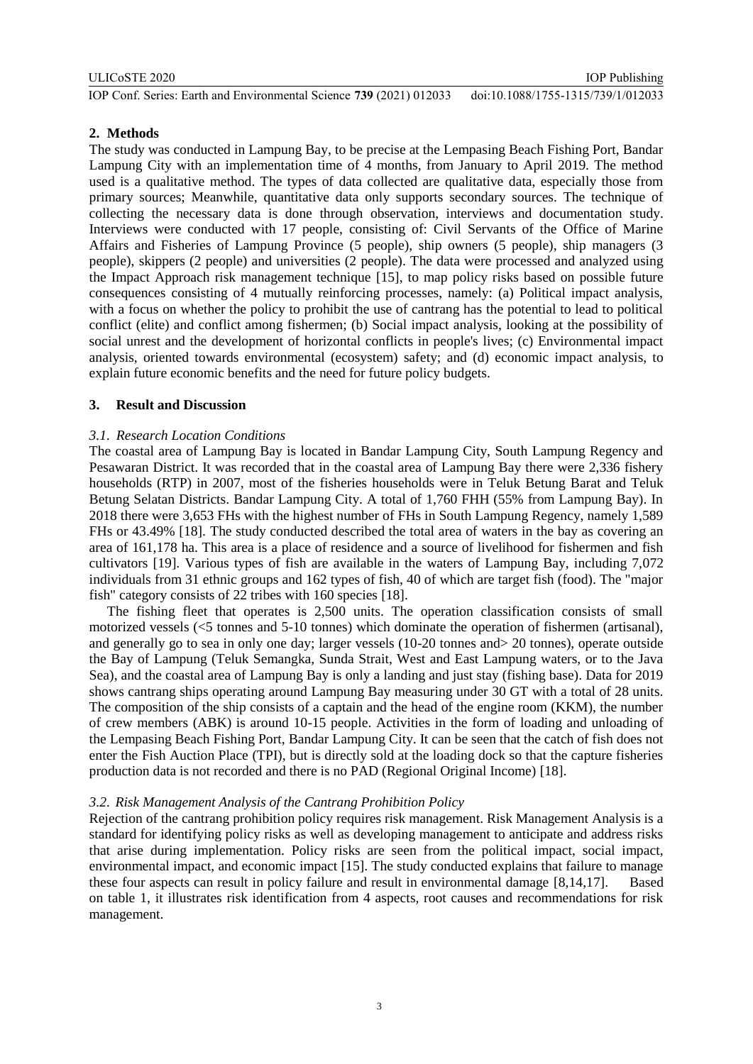## **2. Methods**

The study was conducted in Lampung Bay, to be precise at the Lempasing Beach Fishing Port, Bandar Lampung City with an implementation time of 4 months, from January to April 2019. The method used is a qualitative method. The types of data collected are qualitative data, especially those from primary sources; Meanwhile, quantitative data only supports secondary sources. The technique of collecting the necessary data is done through observation, interviews and documentation study. Interviews were conducted with 17 people, consisting of: Civil Servants of the Office of Marine Affairs and Fisheries of Lampung Province (5 people), ship owners (5 people), ship managers (3 people), skippers (2 people) and universities (2 people). The data were processed and analyzed using the Impact Approach risk management technique [15], to map policy risks based on possible future consequences consisting of 4 mutually reinforcing processes, namely: (a) Political impact analysis, with a focus on whether the policy to prohibit the use of cantrang has the potential to lead to political conflict (elite) and conflict among fishermen; (b) Social impact analysis, looking at the possibility of social unrest and the development of horizontal conflicts in people's lives; (c) Environmental impact analysis, oriented towards environmental (ecosystem) safety; and (d) economic impact analysis, to explain future economic benefits and the need for future policy budgets.

## **3. Result and Discussion**

## *3.1. Research Location Conditions*

The coastal area of Lampung Bay is located in Bandar Lampung City, South Lampung Regency and Pesawaran District. It was recorded that in the coastal area of Lampung Bay there were 2,336 fishery households (RTP) in 2007, most of the fisheries households were in Teluk Betung Barat and Teluk Betung Selatan Districts. Bandar Lampung City. A total of 1,760 FHH (55% from Lampung Bay). In 2018 there were 3,653 FHs with the highest number of FHs in South Lampung Regency, namely 1,589 FHs or 43.49% [18]. The study conducted described the total area of waters in the bay as covering an area of 161,178 ha. This area is a place of residence and a source of livelihood for fishermen and fish cultivators [19]. Various types of fish are available in the waters of Lampung Bay, including 7,072 individuals from 31 ethnic groups and 162 types of fish, 40 of which are target fish (food). The "major fish" category consists of 22 tribes with 160 species [18].

The fishing fleet that operates is 2,500 units. The operation classification consists of small motorized vessels (<5 tonnes and 5-10 tonnes) which dominate the operation of fishermen (artisanal), and generally go to sea in only one day; larger vessels (10-20 tonnes and> 20 tonnes), operate outside the Bay of Lampung (Teluk Semangka, Sunda Strait, West and East Lampung waters, or to the Java Sea), and the coastal area of Lampung Bay is only a landing and just stay (fishing base). Data for 2019 shows cantrang ships operating around Lampung Bay measuring under 30 GT with a total of 28 units. The composition of the ship consists of a captain and the head of the engine room (KKM), the number of crew members (ABK) is around 10-15 people. Activities in the form of loading and unloading of the Lempasing Beach Fishing Port, Bandar Lampung City. It can be seen that the catch of fish does not enter the Fish Auction Place (TPI), but is directly sold at the loading dock so that the capture fisheries production data is not recorded and there is no PAD (Regional Original Income) [18].

### *3.2. Risk Management Analysis of the Cantrang Prohibition Policy*

Rejection of the cantrang prohibition policy requires risk management. Risk Management Analysis is a standard for identifying policy risks as well as developing management to anticipate and address risks that arise during implementation. Policy risks are seen from the political impact, social impact, environmental impact, and economic impact [15]. The study conducted explains that failure to manage these four aspects can result in policy failure and result in environmental damage [8,14,17]. Based on table 1, it illustrates risk identification from 4 aspects, root causes and recommendations for risk management.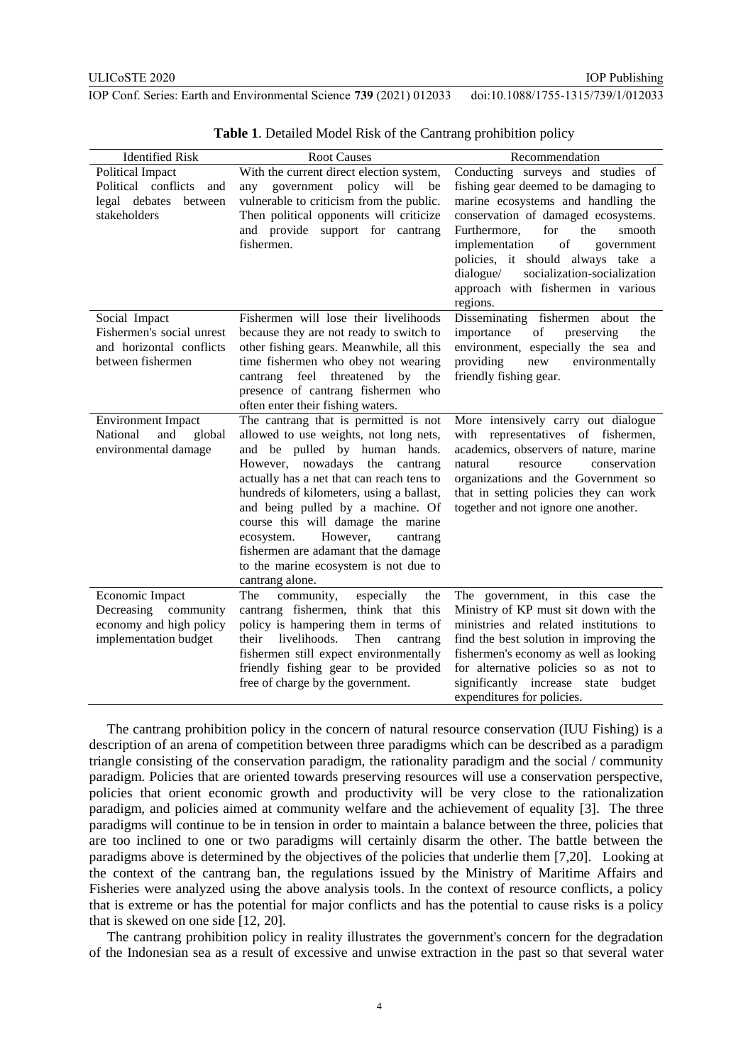IOP Publishing

IOP Conf. Series: Earth and Environmental Science **739** (2021) 012033 doi:10.1088/1755-1315/739/1/012033

| <b>Identified Risk</b>                                                                            | <b>Root Causes</b>                                                                                                                                                                                                                                                                                                                                                                                                                                                | Recommendation                                                                                                                                                                                                                                                                                                                                                           |
|---------------------------------------------------------------------------------------------------|-------------------------------------------------------------------------------------------------------------------------------------------------------------------------------------------------------------------------------------------------------------------------------------------------------------------------------------------------------------------------------------------------------------------------------------------------------------------|--------------------------------------------------------------------------------------------------------------------------------------------------------------------------------------------------------------------------------------------------------------------------------------------------------------------------------------------------------------------------|
| <b>Political Impact</b><br>Political conflicts<br>and<br>legal debates<br>between<br>stakeholders | With the current direct election system,<br>any government policy will<br>be<br>vulnerable to criticism from the public.<br>Then political opponents will criticize<br>and provide support for cantrang<br>fishermen.                                                                                                                                                                                                                                             | Conducting surveys and studies of<br>fishing gear deemed to be damaging to<br>marine ecosystems and handling the<br>conservation of damaged ecosystems.<br>Furthermore,<br>for<br>the<br>smooth<br>implementation<br>of<br>government<br>policies, it should always take a<br>socialization-socialization<br>dialogue/<br>approach with fishermen in various<br>regions. |
| Social Impact<br>Fishermen's social unrest<br>and horizontal conflicts<br>between fishermen       | Fishermen will lose their livelihoods<br>because they are not ready to switch to<br>other fishing gears. Meanwhile, all this<br>time fishermen who obey not wearing<br>cantrang feel threatened by<br>the<br>presence of cantrang fishermen who<br>often enter their fishing waters.                                                                                                                                                                              | Disseminating fishermen about the<br>of<br>importance<br>preserving<br>the<br>environment, especially the sea and<br>providing<br>environmentally<br>new<br>friendly fishing gear.                                                                                                                                                                                       |
| <b>Environment Impact</b><br>National<br>and<br>global<br>environmental damage                    | The cantrang that is permitted is not<br>allowed to use weights, not long nets,<br>and be pulled by human hands.<br>However, nowadays the cantrang<br>actually has a net that can reach tens to<br>hundreds of kilometers, using a ballast,<br>and being pulled by a machine. Of<br>course this will damage the marine<br>However,<br>ecosystem.<br>cantrang<br>fishermen are adamant that the damage<br>to the marine ecosystem is not due to<br>cantrang alone. | More intensively carry out dialogue<br>with representatives of fishermen,<br>academics, observers of nature, marine<br>natural<br>conservation<br>resource<br>organizations and the Government so<br>that in setting policies they can work<br>together and not ignore one another.                                                                                      |
| Economic Impact<br>Decreasing<br>community<br>economy and high policy<br>implementation budget    | community,<br>especially<br>The<br>the<br>cantrang fishermen, think that this<br>policy is hampering them in terms of<br>livelihoods.<br>their<br>Then<br>cantrang<br>fishermen still expect environmentally<br>friendly fishing gear to be provided<br>free of charge by the government.                                                                                                                                                                         | The government, in this case the<br>Ministry of KP must sit down with the<br>ministries and related institutions to<br>find the best solution in improving the<br>fishermen's economy as well as looking<br>for alternative policies so as not to<br>significantly increase state<br>budget<br>expenditures for policies.                                                |

**Table 1**. Detailed Model Risk of the Cantrang prohibition policy

The cantrang prohibition policy in the concern of natural resource conservation (IUU Fishing) is a description of an arena of competition between three paradigms which can be described as a paradigm triangle consisting of the conservation paradigm, the rationality paradigm and the social / community paradigm. Policies that are oriented towards preserving resources will use a conservation perspective, policies that orient economic growth and productivity will be very close to the rationalization paradigm, and policies aimed at community welfare and the achievement of equality [3]. The three paradigms will continue to be in tension in order to maintain a balance between the three, policies that are too inclined to one or two paradigms will certainly disarm the other. The battle between the paradigms above is determined by the objectives of the policies that underlie them [7,20]. Looking at the context of the cantrang ban, the regulations issued by the Ministry of Maritime Affairs and Fisheries were analyzed using the above analysis tools. In the context of resource conflicts, a policy that is extreme or has the potential for major conflicts and has the potential to cause risks is a policy that is skewed on one side [12, 20].

The cantrang prohibition policy in reality illustrates the government's concern for the degradation of the Indonesian sea as a result of excessive and unwise extraction in the past so that several water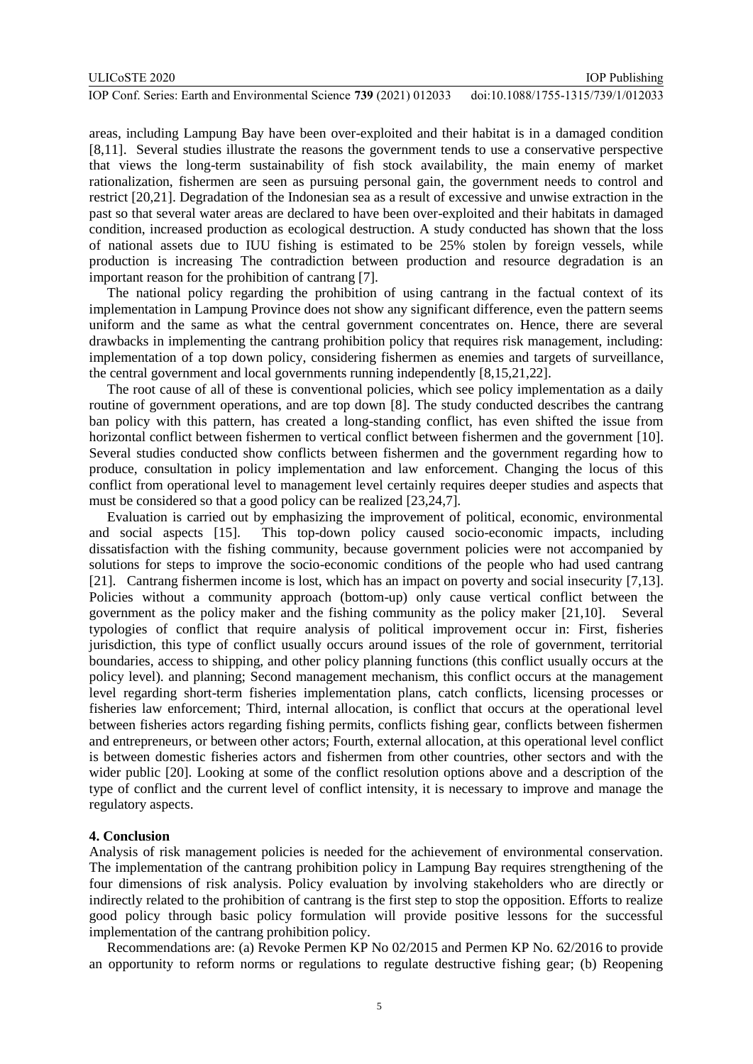areas, including Lampung Bay have been over-exploited and their habitat is in a damaged condition [8,11]. Several studies illustrate the reasons the government tends to use a conservative perspective that views the long-term sustainability of fish stock availability, the main enemy of market rationalization, fishermen are seen as pursuing personal gain, the government needs to control and restrict [20,21]. Degradation of the Indonesian sea as a result of excessive and unwise extraction in the past so that several water areas are declared to have been over-exploited and their habitats in damaged condition, increased production as ecological destruction. A study conducted has shown that the loss of national assets due to IUU fishing is estimated to be 25% stolen by foreign vessels, while production is increasing The contradiction between production and resource degradation is an important reason for the prohibition of cantrang [7].

The national policy regarding the prohibition of using cantrang in the factual context of its implementation in Lampung Province does not show any significant difference, even the pattern seems uniform and the same as what the central government concentrates on. Hence, there are several drawbacks in implementing the cantrang prohibition policy that requires risk management, including: implementation of a top down policy, considering fishermen as enemies and targets of surveillance, the central government and local governments running independently [8,15,21,22].

The root cause of all of these is conventional policies, which see policy implementation as a daily routine of government operations, and are top down [8]. The study conducted describes the cantrang ban policy with this pattern, has created a long-standing conflict, has even shifted the issue from horizontal conflict between fishermen to vertical conflict between fishermen and the government [10]. Several studies conducted show conflicts between fishermen and the government regarding how to produce, consultation in policy implementation and law enforcement. Changing the locus of this conflict from operational level to management level certainly requires deeper studies and aspects that must be considered so that a good policy can be realized [23,24,7].

Evaluation is carried out by emphasizing the improvement of political, economic, environmental and social aspects [15]. This top-down policy caused socio-economic impacts, including dissatisfaction with the fishing community, because government policies were not accompanied by solutions for steps to improve the socio-economic conditions of the people who had used cantrang [21]. Cantrang fishermen income is lost, which has an impact on poverty and social insecurity [7,13]. Policies without a community approach (bottom-up) only cause vertical conflict between the government as the policy maker and the fishing community as the policy maker [21,10]. Several typologies of conflict that require analysis of political improvement occur in: First, fisheries jurisdiction, this type of conflict usually occurs around issues of the role of government, territorial boundaries, access to shipping, and other policy planning functions (this conflict usually occurs at the policy level). and planning; Second management mechanism, this conflict occurs at the management level regarding short-term fisheries implementation plans, catch conflicts, licensing processes or fisheries law enforcement; Third, internal allocation, is conflict that occurs at the operational level between fisheries actors regarding fishing permits, conflicts fishing gear, conflicts between fishermen and entrepreneurs, or between other actors; Fourth, external allocation, at this operational level conflict is between domestic fisheries actors and fishermen from other countries, other sectors and with the wider public [20]. Looking at some of the conflict resolution options above and a description of the type of conflict and the current level of conflict intensity, it is necessary to improve and manage the regulatory aspects.

#### **4. Conclusion**

Analysis of risk management policies is needed for the achievement of environmental conservation. The implementation of the cantrang prohibition policy in Lampung Bay requires strengthening of the four dimensions of risk analysis. Policy evaluation by involving stakeholders who are directly or indirectly related to the prohibition of cantrang is the first step to stop the opposition. Efforts to realize good policy through basic policy formulation will provide positive lessons for the successful implementation of the cantrang prohibition policy.

Recommendations are: (a) Revoke Permen KP No 02/2015 and Permen KP No. 62/2016 to provide an opportunity to reform norms or regulations to regulate destructive fishing gear; (b) Reopening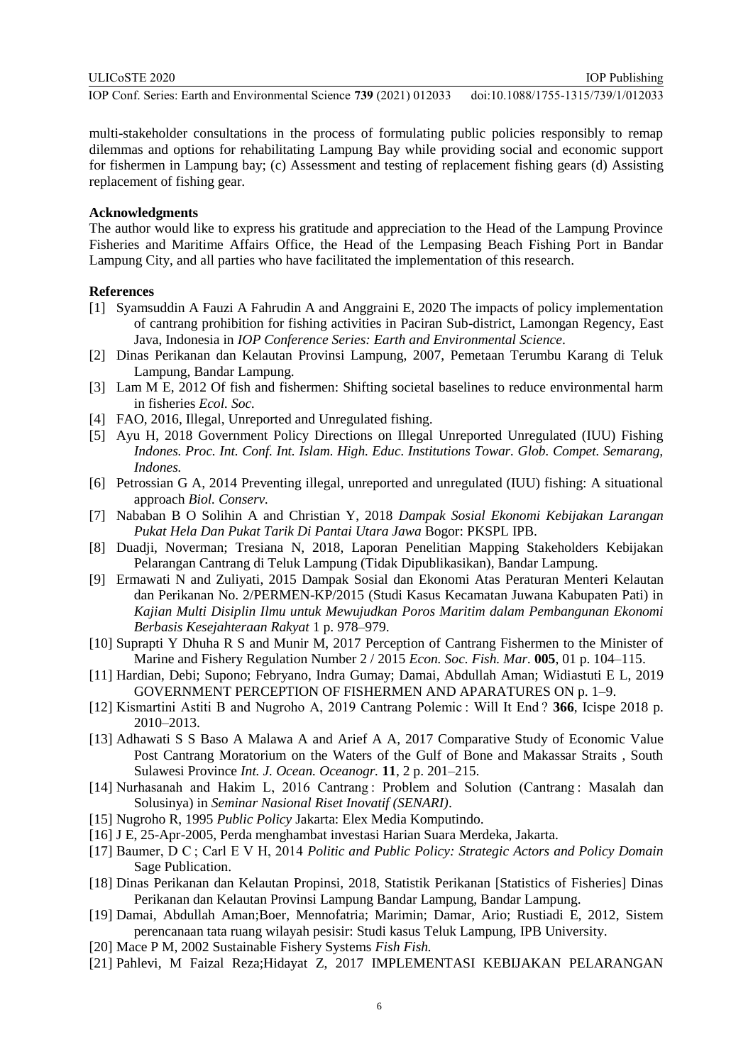multi-stakeholder consultations in the process of formulating public policies responsibly to remap dilemmas and options for rehabilitating Lampung Bay while providing social and economic support for fishermen in Lampung bay; (c) Assessment and testing of replacement fishing gears (d) Assisting replacement of fishing gear.

## **Acknowledgments**

The author would like to express his gratitude and appreciation to the Head of the Lampung Province Fisheries and Maritime Affairs Office, the Head of the Lempasing Beach Fishing Port in Bandar Lampung City, and all parties who have facilitated the implementation of this research.

#### **References**

- [1] Syamsuddin A Fauzi A Fahrudin A and Anggraini E, 2020 The impacts of policy implementation of cantrang prohibition for fishing activities in Paciran Sub-district, Lamongan Regency, East Java, Indonesia in *IOP Conference Series: Earth and Environmental Science*.
- [2] Dinas Perikanan dan Kelautan Provinsi Lampung, 2007, Pemetaan Terumbu Karang di Teluk Lampung, Bandar Lampung.
- [3] Lam M E, 2012 Of fish and fishermen: Shifting societal baselines to reduce environmental harm in fisheries *Ecol. Soc.*
- [4] FAO, 2016, Illegal, Unreported and Unregulated fishing.
- [5] Ayu H, 2018 Government Policy Directions on Illegal Unreported Unregulated (IUU) Fishing *Indones. Proc. Int. Conf. Int. Islam. High. Educ. Institutions Towar. Glob. Compet. Semarang, Indones.*
- [6] Petrossian G A, 2014 Preventing illegal, unreported and unregulated (IUU) fishing: A situational approach *Biol. Conserv.*
- [7] Nababan B O Solihin A and Christian Y, 2018 *Dampak Sosial Ekonomi Kebijakan Larangan Pukat Hela Dan Pukat Tarik Di Pantai Utara Jawa* Bogor: PKSPL IPB.
- [8] Duadji, Noverman; Tresiana N, 2018, Laporan Penelitian Mapping Stakeholders Kebijakan Pelarangan Cantrang di Teluk Lampung (Tidak Dipublikasikan), Bandar Lampung.
- [9] Ermawati N and Zuliyati, 2015 Dampak Sosial dan Ekonomi Atas Peraturan Menteri Kelautan dan Perikanan No. 2/PERMEN-KP/2015 (Studi Kasus Kecamatan Juwana Kabupaten Pati) in *Kajian Multi Disiplin Ilmu untuk Mewujudkan Poros Maritim dalam Pembangunan Ekonomi Berbasis Kesejahteraan Rakyat* 1 p. 978–979.
- [10] Suprapti Y Dhuha R S and Munir M, 2017 Perception of Cantrang Fishermen to the Minister of Marine and Fishery Regulation Number 2 / 2015 *Econ. Soc. Fish. Mar.* **005**, 01 p. 104–115.
- [11] Hardian, Debi; Supono; Febryano, Indra Gumay; Damai, Abdullah Aman; Widiastuti E L, 2019 GOVERNMENT PERCEPTION OF FISHERMEN AND APARATURES ON p. 1–9.
- [12] Kismartini Astiti B and Nugroho A, 2019 Cantrang Polemic : Will It End ? **366**, Icispe 2018 p. 2010–2013.
- [13] Adhawati S S Baso A Malawa A and Arief A A, 2017 Comparative Study of Economic Value Post Cantrang Moratorium on the Waters of the Gulf of Bone and Makassar Straits , South Sulawesi Province *Int. J. Ocean. Oceanogr.* **11**, 2 p. 201–215.
- [14] Nurhasanah and Hakim L, 2016 Cantrang : Problem and Solution (Cantrang : Masalah dan Solusinya) in *Seminar Nasional Riset Inovatif (SENARI)*.
- [15] Nugroho R, 1995 *Public Policy* Jakarta: Elex Media Komputindo.
- [16] J E, 25-Apr-2005, Perda menghambat investasi Harian Suara Merdeka, Jakarta.
- [17] Baumer, D C ; Carl E V H, 2014 *Politic and Public Policy: Strategic Actors and Policy Domain* Sage Publication.
- [18] Dinas Perikanan dan Kelautan Propinsi, 2018, Statistik Perikanan [Statistics of Fisheries] Dinas Perikanan dan Kelautan Provinsi Lampung Bandar Lampung, Bandar Lampung.
- [19] Damai, Abdullah Aman;Boer, Mennofatria; Marimin; Damar, Ario; Rustiadi E, 2012, Sistem perencanaan tata ruang wilayah pesisir: Studi kasus Teluk Lampung, IPB University.
- [20] Mace P M, 2002 Sustainable Fishery Systems *Fish Fish.*
- [21] Pahlevi, M Faizal Reza;Hidayat Z, 2017 IMPLEMENTASI KEBIJAKAN PELARANGAN